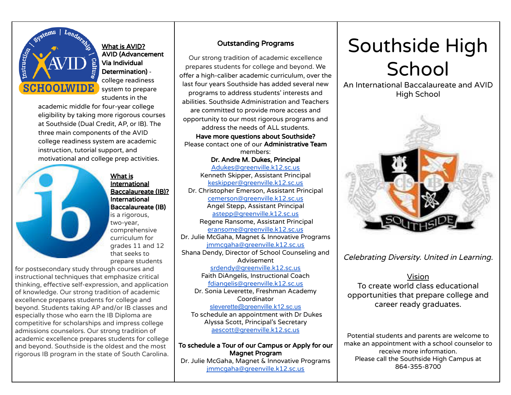

What is AVID? AVID (Advancement Via Individual Determination) college readiness system to prepare students in the

academic middle for four-year college eligibility by taking more rigorous courses at Southside (Dual Credit, AP, or IB). The three main components of the AVID college readiness system are academic instruction, tutorial support, and motivational and college prep activities.



International Baccalaureate (IB)? International Baccalaureate (IB) is a rigorous, two-year, comprehensive curriculum for grades 11 and 12 that seeks to prepare students

What is

for postsecondary study through courses and instructional techniques that emphasize critical thinking, effective self-expression, and application of knowledge. Our strong tradition of academic excellence prepares students for college and beyond. Students taking AP and/or IB classes and especially those who earn the IB Diploma are competitive for scholarships and impress college admissions counselors. Our strong tradition of academic excellence prepares students for college and beyond. Southside is the oldest and the most rigorous IB program in the state of South Carolina.

## Outstanding Programs

Our strong tradition of academic excellence prepares students for college and beyond. We offer a high-caliber academic curriculum, over the last four years Southside has added several new programs to address students' interests and abilities. Southside Administration and Teachers are committed to provide more access and opportunity to our most rigorous programs and address the needs of ALL students. Have more questions about Southside? Please contact one of our Administrative Team members: Dr. Andre M. Dukes, Principal [Adukes@greenville.k12.sc.us](mailto:Adukes@greenville.k12.sc.us) Kenneth Skipper, Assistant Principal [keskipper@greenville.k12.sc.us](mailto:keskipper@greenville.k12.sc.us) Dr. Christopher Emerson, Assistant Principal [cemerson@greenville.k12.sc.us](mailto:cemerson@greenville.k12.sc.us) Angel Stepp, Assistant Principal [astepp@greenville.k12.sc.us](mailto:astepp@greenville.k12.sc.us) Regene Ransome, Assistant Principal [eransome@greenville.k12.sc.us](mailto:eransome@greenville.k12.sc.us) Dr. Julie McGaha, Magnet & Innovative Programs [jmmcgaha@greenville.k12.sc.us](mailto:jmmcgaha@greenville.k12.sc.us) Shana Dendy, Director of School Counseling and Advisement [srdendy@greenville.k12.sc.us](mailto:srdendy@greenville.k12.sc.us) Faith DiAngelis, Instructional Coach [fdiangelis@greenville.k12.sc.us](mailto:fdiangelis@greenville.k12.sc.us) Dr. Sonia Leverette, Freshman Academy

Coordinator [sleverette@greenville.k12.sc.us](mailto:sleverette@greenville.k12.sc.us) To schedule an appointment with Dr Dukes Alyssa Scott, Principal's Secretary [aescott@greenville.k12.sc.us](mailto:aescott@greenville.k12.sc.us)

To schedule a Tour of our Campus or Apply for our Magnet Program Dr. Julie McGaha, Magnet & Innovative Programs [jmmcgaha@greenville.k12.sc.us](mailto:jmmcgaha@greenville.k12.sc.us)

## Southside High **School**

An International Baccalaureate and AVID High School



Celebrating Diversity. United in Learning.

Vision To create world class educational opportunities that prepare college and career ready graduates.

Potential students and parents are welcome to make an appointment with a school counselor to receive more information. Please call the Southside High Campus at 864-355-8700